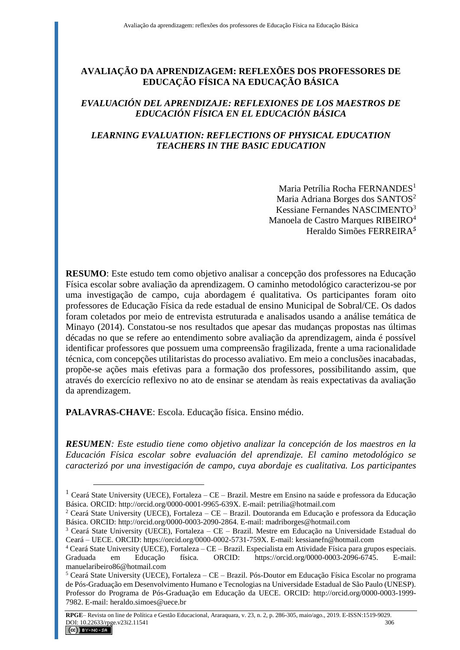# **AVALIAÇÃO DA APRENDIZAGEM: REFLEXÕES DOS PROFESSORES DE EDUCAÇÃO FÍSICA NA EDUCAÇÃO BÁSICA**

### *EVALUACIÓN DEL APRENDIZAJE: REFLEXIONES DE LOS MAESTROS DE EDUCACIÓN FÍSICA EN EL EDUCACIÓN BÁSICA*

## *LEARNING EVALUATION: REFLECTIONS OF PHYSICAL EDUCATION TEACHERS IN THE BASIC EDUCATION*

Maria Petrília Rocha FERNANDES<sup>1</sup> Maria Adriana Borges dos SANTOS<sup>2</sup> Kessiane Fernandes NASCIMENTO<sup>3</sup> Manoela de Castro Marques RIBEIRO<sup>4</sup> Heraldo Simões FERREIRA*<sup>5</sup>*

**RESUMO**: Este estudo tem como objetivo analisar a concepção dos professores na Educação Física escolar sobre avaliação da aprendizagem. O caminho metodológico caracterizou-se por uma investigação de campo, cuja abordagem é qualitativa. Os participantes foram oito professores de Educação Física da rede estadual de ensino Municipal de Sobral/CE. Os dados foram coletados por meio de entrevista estruturada e analisados usando a análise temática de Minayo (2014). Constatou-se nos resultados que apesar das mudanças propostas nas últimas décadas no que se refere ao entendimento sobre avaliação da aprendizagem, ainda é possível identificar professores que possuem uma compreensão fragilizada, frente a uma racionalidade técnica, com concepções utilitaristas do processo avaliativo. Em meio a conclusões inacabadas, propõe-se ações mais efetivas para a formação dos professores, possibilitando assim, que através do exercício reflexivo no ato de ensinar se atendam às reais expectativas da avaliação da aprendizagem.

**PALAVRAS-CHAVE**: Escola. Educação física. Ensino médio.

 $\overline{a}$ 

*RESUMEN: Este estudio tiene como objetivo analizar la concepción de los maestros en la Educación Física escolar sobre evaluación del aprendizaje. El camino metodológico se caracterizó por una investigación de campo, cuya abordaje es cualitativa. Los participantes* 

 $1$  Ceará State University (UECE), Fortaleza – CE – Brazil. Mestre em Ensino na saúde e professora da Educação Básica. ORCID: http://orcid.org/0000-0001-9965-639X. E-mail: petrilia@hotmail.com

<sup>2</sup> Ceará State University (UECE), Fortaleza – CE – Brazil. Doutoranda em Educação e professora da Educação Básica. ORCID: http://orcid.org/0000-0003-2090-2864. E-mail: madriborges@hotmail.com

<sup>3</sup> Ceará State University (UECE), Fortaleza – CE – Brazil. Mestre em Educação na Universidade Estadual do Ceará – UECE. ORCID: https://orcid.org/0000-0002-5731-759X. E-mail: kessianefn@hotmail.com

<sup>4</sup> Ceará State University (UECE), Fortaleza – CE – Brazil. Especialista em Atividade Física para grupos especiais. Graduada em Educação física. ORCID: https://orcid.org/0000-0003-2096-6745. E-mail: manuelaribeiro86@hotmail.com

<sup>5</sup> Ceará State University (UECE), Fortaleza – CE – Brazil. Pós-Doutor em Educação Física Escolar no programa de Pós-Graduação em Desenvolvimento Humano e Tecnologias na Universidade Estadual de São Paulo (UNESP). Professor do Programa de Pós-Graduação em Educação da UECE. ORCID: http://orcid.org/0000-0003-1999- 7982. E-mail: heraldo.simoes@uece.br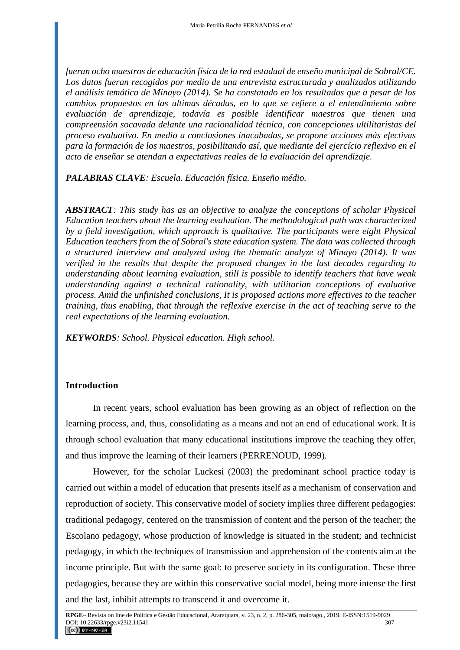*fueran ocho maestros de educación física de la red estadual de enseño municipal de Sobral/CE. Los datos fueran recogidos por medio de una entrevista estructurada y analizados utilizando el análisis temática de Minayo (2014). Se ha constatado en los resultados que a pesar de los cambios propuestos en las ultimas décadas, en lo que se refiere a el entendimiento sobre evaluación de aprendizaje, todavía es posible identificar maestros que tienen una compreensión socavada delante una racionalidad técnica, con concepciones ultilitaristas del proceso evaluativo. En medio a conclusiones inacabadas, se propone acciones más efectivas para la formación de los maestros, posibilitando así, que mediante del ejercício reflexivo en el acto de enseñar se atendan a expectativas reales de la evaluación del aprendizaje.*

*PALABRAS CLAVE: Escuela. Educación física. Enseño médio.*

*ABSTRACT: This study has as an objective to analyze the conceptions of scholar Physical Education teachers about the learning evaluation. The methodological path was characterized by a field investigation, which approach is qualitative. The participants were eight Physical Education teachers from the of Sobral's state education system. The data was collected through a structured interview and analyzed using the thematic analyze of Minayo (2014). It was verified in the results that despite the proposed changes in the last decades regarding to understanding about learning evaluation, still is possible to identify teachers that have weak understanding against a technical rationality, with utilitarian conceptions of evaluative process. Amid the unfinished conclusions, It is proposed actions more effectives to the teacher training, thus enabling, that through the reflexive exercise in the act of teaching serve to the real expectations of the learning evaluation.*

*KEYWORDS: School. Physical education. High school.*

#### **Introduction**

In recent years, school evaluation has been growing as an object of reflection on the learning process, and, thus, consolidating as a means and not an end of educational work. It is through school evaluation that many educational institutions improve the teaching they offer, and thus improve the learning of their learners (PERRENOUD, 1999).

However, for the scholar Luckesi (2003) the predominant school practice today is carried out within a model of education that presents itself as a mechanism of conservation and reproduction of society. This conservative model of society implies three different pedagogies: traditional pedagogy, centered on the transmission of content and the person of the teacher; the Escolano pedagogy, whose production of knowledge is situated in the student; and technicist pedagogy, in which the techniques of transmission and apprehension of the contents aim at the income principle. But with the same goal: to preserve society in its configuration. These three pedagogies, because they are within this conservative social model, being more intense the first and the last, inhibit attempts to transcend it and overcome it.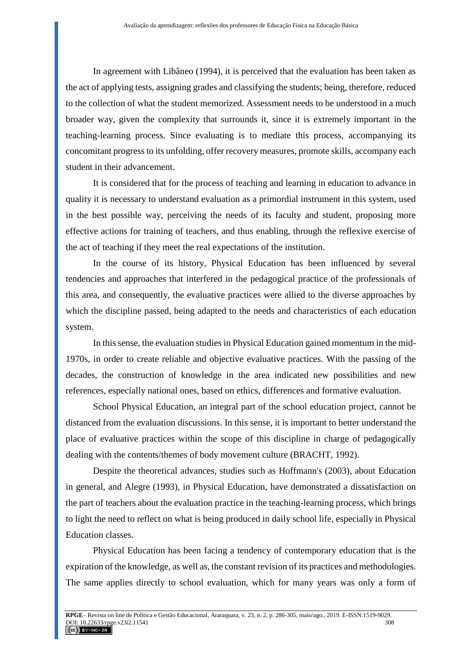In agreement with Libâneo (1994), it is perceived that the evaluation has been taken as the act of applying tests, assigning grades and classifying the students; being, therefore, reduced to the collection of what the student memorized. Assessment needs to be understood in a much broader way, given the complexity that surrounds it, since it is extremely important in the teaching-learning process. Since evaluating is to mediate this process, accompanying its concomitant progress to its unfolding, offer recovery measures, promote skills, accompany each student in their advancement.

It is considered that for the process of teaching and learning in education to advance in quality it is necessary to understand evaluation as a primordial instrument in this system, used in the best possible way, perceiving the needs of its faculty and student, proposing more effective actions for training of teachers, and thus enabling, through the reflexive exercise of the act of teaching if they meet the real expectations of the institution.

In the course of its history, Physical Education has been influenced by several tendencies and approaches that interfered in the pedagogical practice of the professionals of this area, and consequently, the evaluative practices were allied to the diverse approaches by which the discipline passed, being adapted to the needs and characteristics of each education system.

In this sense, the evaluation studies in Physical Education gained momentum in the mid-1970s, in order to create reliable and objective evaluative practices. With the passing of the decades, the construction of knowledge in the area indicated new possibilities and new references, especially national ones, based on ethics, differences and formative evaluation.

School Physical Education, an integral part of the school education project, cannot be distanced from the evaluation discussions. In this sense, it is important to better understand the place of evaluative practices within the scope of this discipline in charge of pedagogically dealing with the contents/themes of body movement culture (BRACHT, 1992).

Despite the theoretical advances, studies such as Hoffmann's (2003), about Education in general, and Alegre (1993), in Physical Education, have demonstrated a dissatisfaction on the part of teachers about the evaluation practice in the teaching-learning process, which brings to light the need to reflect on what is being produced in daily school life, especially in Physical Education classes.

Physical Education has been facing a tendency of contemporary education that is the expiration of the knowledge, as well as, the constant revision of its practices and methodologies. The same applies directly to school evaluation, which for many years was only a form of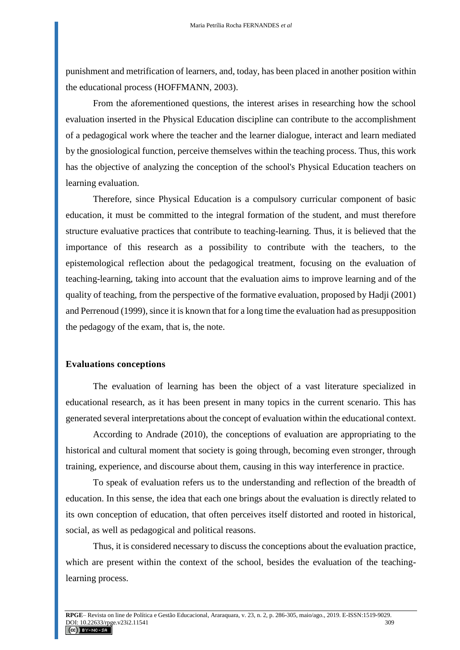punishment and metrification of learners, and, today, has been placed in another position within the educational process (HOFFMANN, 2003).

From the aforementioned questions, the interest arises in researching how the school evaluation inserted in the Physical Education discipline can contribute to the accomplishment of a pedagogical work where the teacher and the learner dialogue, interact and learn mediated by the gnosiological function, perceive themselves within the teaching process. Thus, this work has the objective of analyzing the conception of the school's Physical Education teachers on learning evaluation.

Therefore, since Physical Education is a compulsory curricular component of basic education, it must be committed to the integral formation of the student, and must therefore structure evaluative practices that contribute to teaching-learning. Thus, it is believed that the importance of this research as a possibility to contribute with the teachers, to the epistemological reflection about the pedagogical treatment, focusing on the evaluation of teaching-learning, taking into account that the evaluation aims to improve learning and of the quality of teaching, from the perspective of the formative evaluation, proposed by Hadji (2001) and Perrenoud (1999), since it is known that for a long time the evaluation had as presupposition the pedagogy of the exam, that is, the note.

#### **Evaluations conceptions**

The evaluation of learning has been the object of a vast literature specialized in educational research, as it has been present in many topics in the current scenario. This has generated several interpretations about the concept of evaluation within the educational context.

According to Andrade (2010), the conceptions of evaluation are appropriating to the historical and cultural moment that society is going through, becoming even stronger, through training, experience, and discourse about them, causing in this way interference in practice.

To speak of evaluation refers us to the understanding and reflection of the breadth of education. In this sense, the idea that each one brings about the evaluation is directly related to its own conception of education, that often perceives itself distorted and rooted in historical, social, as well as pedagogical and political reasons.

Thus, it is considered necessary to discuss the conceptions about the evaluation practice, which are present within the context of the school, besides the evaluation of the teachinglearning process.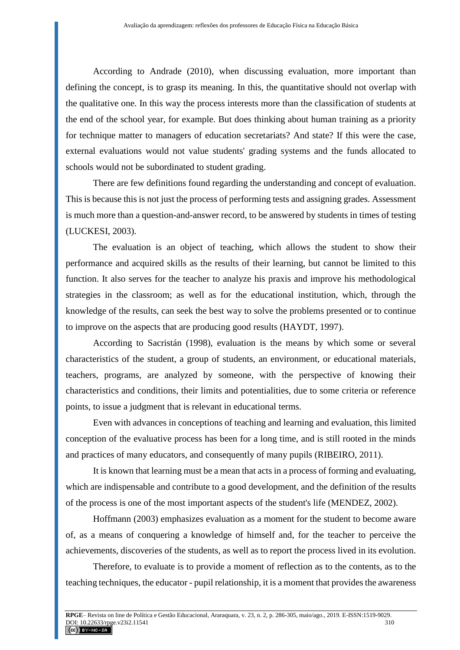According to Andrade (2010), when discussing evaluation, more important than defining the concept, is to grasp its meaning. In this, the quantitative should not overlap with the qualitative one. In this way the process interests more than the classification of students at the end of the school year, for example. But does thinking about human training as a priority for technique matter to managers of education secretariats? And state? If this were the case, external evaluations would not value students' grading systems and the funds allocated to schools would not be subordinated to student grading.

There are few definitions found regarding the understanding and concept of evaluation. This is because this is not just the process of performing tests and assigning grades. Assessment is much more than a question-and-answer record, to be answered by students in times of testing (LUCKESI, 2003).

The evaluation is an object of teaching, which allows the student to show their performance and acquired skills as the results of their learning, but cannot be limited to this function. It also serves for the teacher to analyze his praxis and improve his methodological strategies in the classroom; as well as for the educational institution, which, through the knowledge of the results, can seek the best way to solve the problems presented or to continue to improve on the aspects that are producing good results (HAYDT, 1997).

According to Sacristán (1998), evaluation is the means by which some or several characteristics of the student, a group of students, an environment, or educational materials, teachers, programs, are analyzed by someone, with the perspective of knowing their characteristics and conditions, their limits and potentialities, due to some criteria or reference points, to issue a judgment that is relevant in educational terms.

Even with advances in conceptions of teaching and learning and evaluation, this limited conception of the evaluative process has been for a long time, and is still rooted in the minds and practices of many educators, and consequently of many pupils (RIBEIRO, 2011).

It is known that learning must be a mean that acts in a process of forming and evaluating, which are indispensable and contribute to a good development, and the definition of the results of the process is one of the most important aspects of the student's life (MENDEZ, 2002).

Hoffmann (2003) emphasizes evaluation as a moment for the student to become aware of, as a means of conquering a knowledge of himself and, for the teacher to perceive the achievements, discoveries of the students, as well as to report the process lived in its evolution.

Therefore, to evaluate is to provide a moment of reflection as to the contents, as to the teaching techniques, the educator - pupil relationship, it is a moment that provides the awareness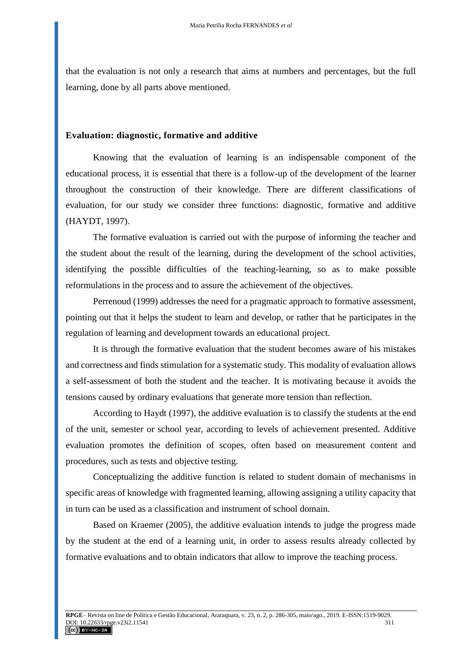that the evaluation is not only a research that aims at numbers and percentages, but the full learning, done by all parts above mentioned.

#### **Evaluation: diagnostic, formative and additive**

Knowing that the evaluation of learning is an indispensable component of the educational process, it is essential that there is a follow-up of the development of the learner throughout the construction of their knowledge. There are different classifications of evaluation, for our study we consider three functions: diagnostic, formative and additive (HAYDT, 1997).

The formative evaluation is carried out with the purpose of informing the teacher and the student about the result of the learning, during the development of the school activities, identifying the possible difficulties of the teaching-learning, so as to make possible reformulations in the process and to assure the achievement of the objectives.

Perrenoud (1999) addresses the need for a pragmatic approach to formative assessment, pointing out that it helps the student to learn and develop, or rather that he participates in the regulation of learning and development towards an educational project.

It is through the formative evaluation that the student becomes aware of his mistakes and correctness and finds stimulation for a systematic study. This modality of evaluation allows a self-assessment of both the student and the teacher. It is motivating because it avoids the tensions caused by ordinary evaluations that generate more tension than reflection.

According to Haydt (1997), the additive evaluation is to classify the students at the end of the unit, semester or school year, according to levels of achievement presented. Additive evaluation promotes the definition of scopes, often based on measurement content and procedures, such as tests and objective testing.

Conceptualizing the additive function is related to student domain of mechanisms in specific areas of knowledge with fragmented learning, allowing assigning a utility capacity that in turn can be used as a classification and instrument of school domain.

Based on Kraemer (2005), the additive evaluation intends to judge the progress made by the student at the end of a learning unit, in order to assess results already collected by formative evaluations and to obtain indicators that allow to improve the teaching process.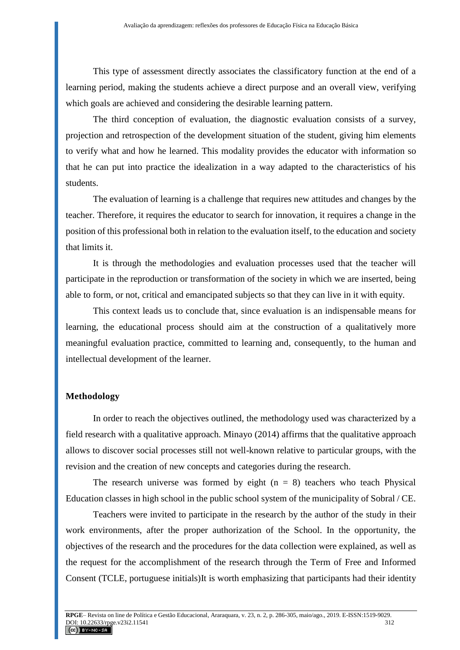This type of assessment directly associates the classificatory function at the end of a learning period, making the students achieve a direct purpose and an overall view, verifying which goals are achieved and considering the desirable learning pattern.

The third conception of evaluation, the diagnostic evaluation consists of a survey, projection and retrospection of the development situation of the student, giving him elements to verify what and how he learned. This modality provides the educator with information so that he can put into practice the idealization in a way adapted to the characteristics of his students.

The evaluation of learning is a challenge that requires new attitudes and changes by the teacher. Therefore, it requires the educator to search for innovation, it requires a change in the position of this professional both in relation to the evaluation itself, to the education and society that limits it.

It is through the methodologies and evaluation processes used that the teacher will participate in the reproduction or transformation of the society in which we are inserted, being able to form, or not, critical and emancipated subjects so that they can live in it with equity.

This context leads us to conclude that, since evaluation is an indispensable means for learning, the educational process should aim at the construction of a qualitatively more meaningful evaluation practice, committed to learning and, consequently, to the human and intellectual development of the learner.

#### **Methodology**

In order to reach the objectives outlined, the methodology used was characterized by a field research with a qualitative approach. Minayo (2014) affirms that the qualitative approach allows to discover social processes still not well-known relative to particular groups, with the revision and the creation of new concepts and categories during the research.

The research universe was formed by eight  $(n = 8)$  teachers who teach Physical Education classes in high school in the public school system of the municipality of Sobral / CE.

Teachers were invited to participate in the research by the author of the study in their work environments, after the proper authorization of the School. In the opportunity, the objectives of the research and the procedures for the data collection were explained, as well as the request for the accomplishment of the research through the Term of Free and Informed Consent (TCLE, portuguese initials)It is worth emphasizing that participants had their identity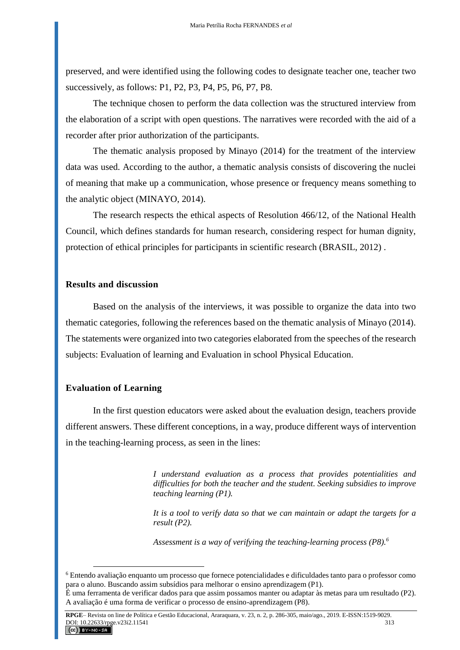preserved, and were identified using the following codes to designate teacher one, teacher two successively, as follows: P1, P2, P3, P4, P5, P6, P7, P8.

The technique chosen to perform the data collection was the structured interview from the elaboration of a script with open questions. The narratives were recorded with the aid of a recorder after prior authorization of the participants.

The thematic analysis proposed by Minayo (2014) for the treatment of the interview data was used. According to the author, a thematic analysis consists of discovering the nuclei of meaning that make up a communication, whose presence or frequency means something to the analytic object (MINAYO, 2014).

The research respects the ethical aspects of Resolution 466/12, of the National Health Council, which defines standards for human research, considering respect for human dignity, protection of ethical principles for participants in scientific research (BRASIL, 2012) .

#### **Results and discussion**

Based on the analysis of the interviews, it was possible to organize the data into two thematic categories, following the references based on the thematic analysis of Minayo (2014). The statements were organized into two categories elaborated from the speeches of the research subjects: Evaluation of learning and Evaluation in school Physical Education.

#### **Evaluation of Learning**

 $\overline{a}$ 

In the first question educators were asked about the evaluation design, teachers provide different answers. These different conceptions, in a way, produce different ways of intervention in the teaching-learning process, as seen in the lines:

> *I understand evaluation as a process that provides potentialities and difficulties for both the teacher and the student. Seeking subsidies to improve teaching learning (P1).*

> *It is a tool to verify data so that we can maintain or adapt the targets for a result (P2).*

*Assessment is a way of verifying the teaching-learning process (P8).<sup>6</sup>*

<sup>6</sup> Entendo avaliação enquanto um processo que fornece potencialidades e dificuldades tanto para o professor como para o aluno. Buscando assim subsídios para melhorar o ensino aprendizagem (P1). É uma ferramenta de verificar dados para que assim possamos manter ou adaptar às metas para um resultado (P2).

A avaliação é uma forma de verificar o processo de ensino-aprendizagem (P8).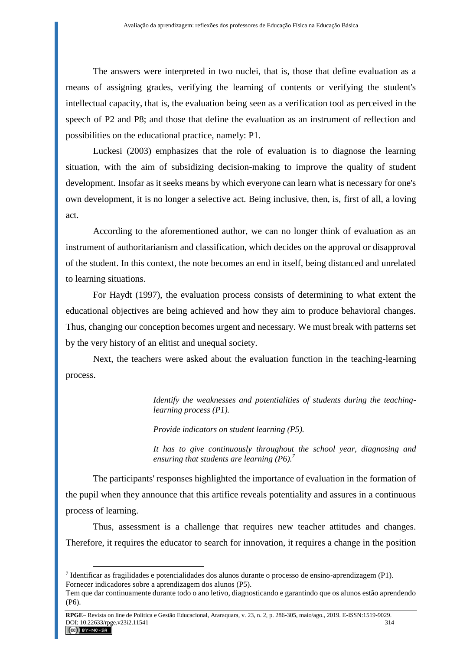The answers were interpreted in two nuclei, that is, those that define evaluation as a means of assigning grades, verifying the learning of contents or verifying the student's intellectual capacity, that is, the evaluation being seen as a verification tool as perceived in the speech of P2 and P8; and those that define the evaluation as an instrument of reflection and possibilities on the educational practice, namely: P1.

Luckesi (2003) emphasizes that the role of evaluation is to diagnose the learning situation, with the aim of subsidizing decision-making to improve the quality of student development. Insofar as it seeks means by which everyone can learn what is necessary for one's own development, it is no longer a selective act. Being inclusive, then, is, first of all, a loving act.

According to the aforementioned author, we can no longer think of evaluation as an instrument of authoritarianism and classification, which decides on the approval or disapproval of the student. In this context, the note becomes an end in itself, being distanced and unrelated to learning situations.

For Haydt (1997), the evaluation process consists of determining to what extent the educational objectives are being achieved and how they aim to produce behavioral changes. Thus, changing our conception becomes urgent and necessary. We must break with patterns set by the very history of an elitist and unequal society.

Next, the teachers were asked about the evaluation function in the teaching-learning process.

> *Identify the weaknesses and potentialities of students during the teachinglearning process (P1).*

*Provide indicators on student learning (P5).*

*It has to give continuously throughout the school year, diagnosing and ensuring that students are learning (P6).<sup>7</sup>*

The participants' responses highlighted the importance of evaluation in the formation of the pupil when they announce that this artifice reveals potentiality and assures in a continuous process of learning.

Thus, assessment is a challenge that requires new teacher attitudes and changes. Therefore, it requires the educator to search for innovation, it requires a change in the position

 $\overline{a}$ 

<sup>7</sup> Identificar as fragilidades e potencialidades dos alunos durante o processo de ensino-aprendizagem (P1). Fornecer indicadores sobre a aprendizagem dos alunos (P5).

Tem que dar continuamente durante todo o ano letivo, diagnosticando e garantindo que os alunos estão aprendendo (P6).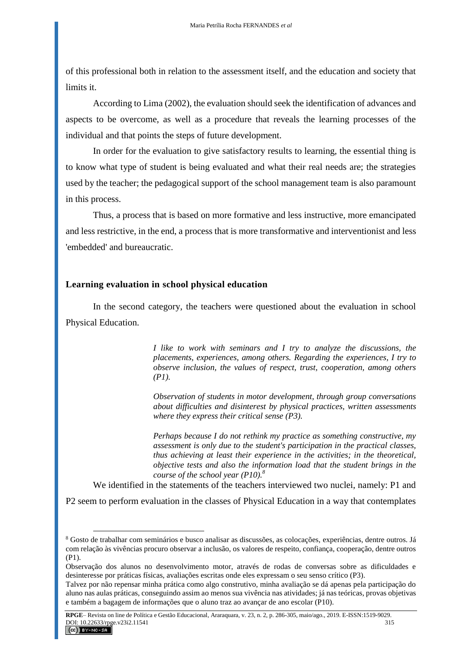of this professional both in relation to the assessment itself, and the education and society that limits it.

According to Lima (2002), the evaluation should seek the identification of advances and aspects to be overcome, as well as a procedure that reveals the learning processes of the individual and that points the steps of future development.

In order for the evaluation to give satisfactory results to learning, the essential thing is to know what type of student is being evaluated and what their real needs are; the strategies used by the teacher; the pedagogical support of the school management team is also paramount in this process.

Thus, a process that is based on more formative and less instructive, more emancipated and less restrictive, in the end, a process that is more transformative and interventionist and less 'embedded' and bureaucratic.

#### **Learning evaluation in school physical education**

 $\overline{a}$ 

In the second category, the teachers were questioned about the evaluation in school Physical Education.

> *I like to work with seminars and I try to analyze the discussions, the placements, experiences, among others. Regarding the experiences, I try to observe inclusion, the values of respect, trust, cooperation, among others (P1).*

> *Observation of students in motor development, through group conversations about difficulties and disinterest by physical practices, written assessments where they express their critical sense (P3).*

> *Perhaps because I do not rethink my practice as something constructive, my assessment is only due to the student's participation in the practical classes, thus achieving at least their experience in the activities; in the theoretical, objective tests and also the information load that the student brings in the course of the school year (P10).<sup>8</sup>*

We identified in the statements of the teachers interviewed two nuclei, namely: P1 and

P2 seem to perform evaluation in the classes of Physical Education in a way that contemplates

<sup>8</sup> Gosto de trabalhar com seminários e busco analisar as discussões, as colocações, experiências, dentre outros. Já com relação às vivências procuro observar a inclusão, os valores de respeito, confiança, cooperação, dentre outros (P1).

Observação dos alunos no desenvolvimento motor, através de rodas de conversas sobre as dificuldades e desinteresse por práticas físicas, avaliações escritas onde eles expressam o seu senso crítico (P3).

Talvez por não repensar minha prática como algo construtivo, minha avaliação se dá apenas pela participação do aluno nas aulas práticas, conseguindo assim ao menos sua vivência nas atividades; já nas teóricas, provas objetivas e também a bagagem de informações que o aluno traz ao avançar de ano escolar (P10).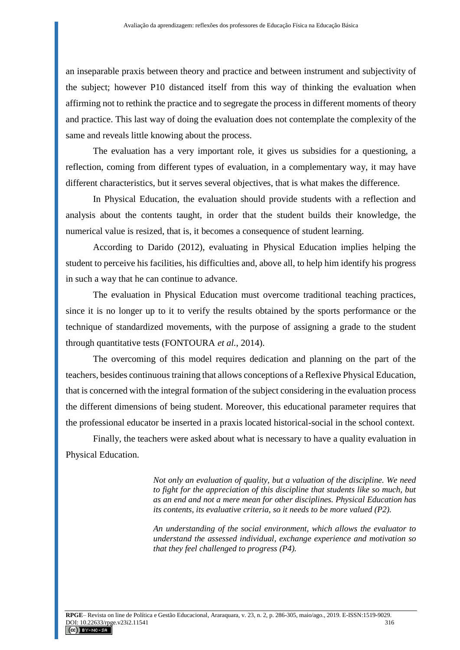an inseparable praxis between theory and practice and between instrument and subjectivity of the subject; however P10 distanced itself from this way of thinking the evaluation when affirming not to rethink the practice and to segregate the process in different moments of theory and practice. This last way of doing the evaluation does not contemplate the complexity of the same and reveals little knowing about the process.

The evaluation has a very important role, it gives us subsidies for a questioning, a reflection, coming from different types of evaluation, in a complementary way, it may have different characteristics, but it serves several objectives, that is what makes the difference.

In Physical Education, the evaluation should provide students with a reflection and analysis about the contents taught, in order that the student builds their knowledge, the numerical value is resized, that is, it becomes a consequence of student learning.

According to Darido (2012), evaluating in Physical Education implies helping the student to perceive his facilities, his difficulties and, above all, to help him identify his progress in such a way that he can continue to advance.

The evaluation in Physical Education must overcome traditional teaching practices, since it is no longer up to it to verify the results obtained by the sports performance or the technique of standardized movements, with the purpose of assigning a grade to the student through quantitative tests (FONTOURA *et al.*, 2014).

The overcoming of this model requires dedication and planning on the part of the teachers, besides continuous training that allows conceptions of a Reflexive Physical Education, that is concerned with the integral formation of the subject considering in the evaluation process the different dimensions of being student. Moreover, this educational parameter requires that the professional educator be inserted in a praxis located historical-social in the school context.

Finally, the teachers were asked about what is necessary to have a quality evaluation in Physical Education.

> *Not only an evaluation of quality, but a valuation of the discipline. We need*  to fight for the appreciation of this discipline that students like so much, but *as an end and not a mere mean for other disciplines. Physical Education has its contents, its evaluative criteria, so it needs to be more valued (P2).*

> *An understanding of the social environment, which allows the evaluator to understand the assessed individual, exchange experience and motivation so that they feel challenged to progress (P4).*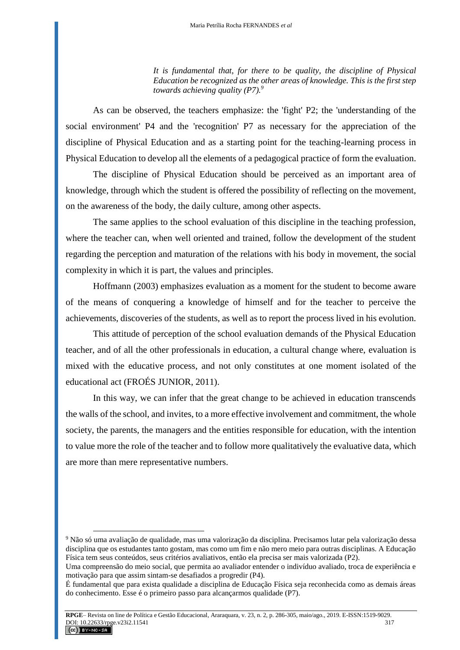*It is fundamental that, for there to be quality, the discipline of Physical Education be recognized as the other areas of knowledge. This is the first step towards achieving quality (P7).<sup>9</sup>*

As can be observed, the teachers emphasize: the 'fight' P2; the 'understanding of the social environment' P4 and the 'recognition' P7 as necessary for the appreciation of the discipline of Physical Education and as a starting point for the teaching-learning process in Physical Education to develop all the elements of a pedagogical practice of form the evaluation.

The discipline of Physical Education should be perceived as an important area of knowledge, through which the student is offered the possibility of reflecting on the movement, on the awareness of the body, the daily culture, among other aspects.

The same applies to the school evaluation of this discipline in the teaching profession, where the teacher can, when well oriented and trained, follow the development of the student regarding the perception and maturation of the relations with his body in movement, the social complexity in which it is part, the values and principles.

Hoffmann (2003) emphasizes evaluation as a moment for the student to become aware of the means of conquering a knowledge of himself and for the teacher to perceive the achievements, discoveries of the students, as well as to report the process lived in his evolution.

This attitude of perception of the school evaluation demands of the Physical Education teacher, and of all the other professionals in education, a cultural change where, evaluation is mixed with the educative process, and not only constitutes at one moment isolated of the educational act (FROÉS JUNIOR, 2011).

In this way, we can infer that the great change to be achieved in education transcends the walls of the school, and invites, to a more effective involvement and commitment, the whole society, the parents, the managers and the entities responsible for education, with the intention to value more the role of the teacher and to follow more qualitatively the evaluative data, which are more than mere representative numbers.

 $\overline{a}$ 

<sup>9</sup> Não só uma avaliação de qualidade, mas uma valorização da disciplina. Precisamos lutar pela valorização dessa disciplina que os estudantes tanto gostam, mas como um fim e não mero meio para outras disciplinas. A Educação Física tem seus conteúdos, seus critérios avaliativos, então ela precisa ser mais valorizada (P2).

Uma compreensão do meio social, que permita ao avaliador entender o indivíduo avaliado, troca de experiência e motivação para que assim sintam-se desafiados a progredir (P4).

É fundamental que para exista qualidade a disciplina de Educação Física seja reconhecida como as demais áreas do conhecimento. Esse é o primeiro passo para alcançarmos qualidade (P7).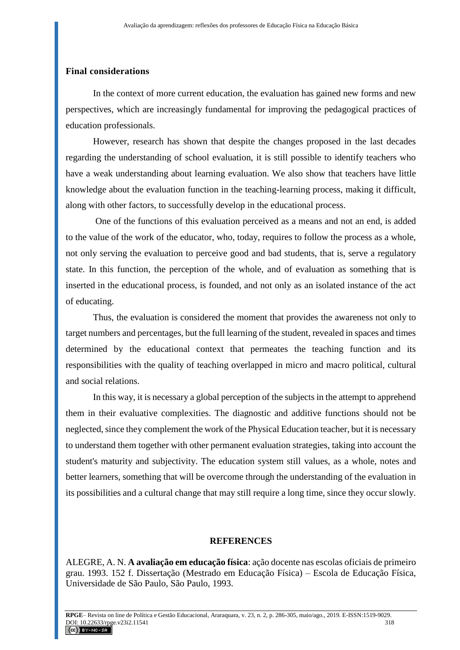## **Final considerations**

In the context of more current education, the evaluation has gained new forms and new perspectives, which are increasingly fundamental for improving the pedagogical practices of education professionals.

However, research has shown that despite the changes proposed in the last decades regarding the understanding of school evaluation, it is still possible to identify teachers who have a weak understanding about learning evaluation. We also show that teachers have little knowledge about the evaluation function in the teaching-learning process, making it difficult, along with other factors, to successfully develop in the educational process.

One of the functions of this evaluation perceived as a means and not an end, is added to the value of the work of the educator, who, today, requires to follow the process as a whole, not only serving the evaluation to perceive good and bad students, that is, serve a regulatory state. In this function, the perception of the whole, and of evaluation as something that is inserted in the educational process, is founded, and not only as an isolated instance of the act of educating.

Thus, the evaluation is considered the moment that provides the awareness not only to target numbers and percentages, but the full learning of the student, revealed in spaces and times determined by the educational context that permeates the teaching function and its responsibilities with the quality of teaching overlapped in micro and macro political, cultural and social relations.

In this way, it is necessary a global perception of the subjects in the attempt to apprehend them in their evaluative complexities. The diagnostic and additive functions should not be neglected, since they complement the work of the Physical Education teacher, but it is necessary to understand them together with other permanent evaluation strategies, taking into account the student's maturity and subjectivity. The education system still values, as a whole, notes and better learners, something that will be overcome through the understanding of the evaluation in its possibilities and a cultural change that may still require a long time, since they occur slowly.

### **REFERENCES**

ALEGRE, A. N. **A avaliação em educação física**: ação docente nas escolas oficiais de primeiro grau. 1993. 152 f. Dissertação (Mestrado em Educação Física) – Escola de Educação Física, Universidade de São Paulo, São Paulo, 1993.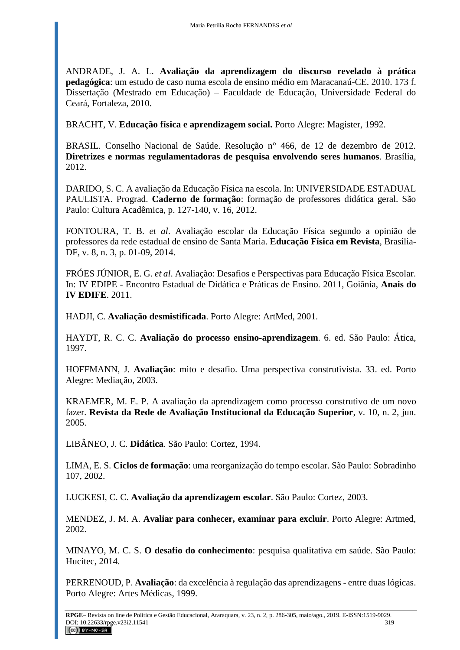ANDRADE, J. A. L. **Avaliação da aprendizagem do discurso revelado à prática pedagógica**: um estudo de caso numa escola de ensino médio em Maracanaú-CE. 2010. 173 f. Dissertação (Mestrado em Educação) – Faculdade de Educação, Universidade Federal do Ceará, Fortaleza, 2010.

BRACHT, V. **Educação física e aprendizagem social.** Porto Alegre: Magister, 1992.

BRASIL. Conselho Nacional de Saúde. Resolução n° 466, de 12 de dezembro de 2012. **Diretrizes e normas regulamentadoras de pesquisa envolvendo seres humanos**. Brasília, 2012.

DARIDO, S. C. A avaliação da Educação Física na escola. In: UNIVERSIDADE ESTADUAL PAULISTA. Prograd. **Caderno de formação**: formação de professores didática geral. São Paulo: Cultura Acadêmica, p. 127-140, v. 16, 2012.

FONTOURA, T. B. *et al*. Avaliação escolar da Educação Física segundo a opinião de professores da rede estadual de ensino de Santa Maria. **Educação Física em Revista**, Brasília-DF, v. 8, n. 3, p. 01-09, 2014.

FRÓES JÚNIOR, E. G. *et al*. Avaliação: Desafios e Perspectivas para Educação Física Escolar. In: IV EDIPE - Encontro Estadual de Didática e Práticas de Ensino. 2011, Goiânia, **Anais do IV EDIFE**. 2011.

HADJI, C. **Avaliação desmistificada**. Porto Alegre: ArtMed, 2001.

HAYDT, R. C. C. **Avaliação do processo ensino-aprendizagem**. 6. ed. São Paulo: Ática, 1997.

HOFFMANN, J. **Avaliação**: mito e desafio. Uma perspectiva construtivista. 33. ed. Porto Alegre: Mediação, 2003.

KRAEMER, M. E. P. A avaliação da aprendizagem como processo construtivo de um novo fazer. **Revista da Rede de Avaliação Institucional da Educação Superior**, v. 10, n. 2, jun. 2005.

LIBÂNEO, J. C. **Didática**. São Paulo: Cortez, 1994.

LIMA, E. S. **Ciclos de formação**: uma reorganização do tempo escolar. São Paulo: Sobradinho 107, 2002.

LUCKESI, C. C. **Avaliação da aprendizagem escolar**. São Paulo: Cortez, 2003.

MENDEZ, J. M. A. **Avaliar para conhecer, examinar para excluir**. Porto Alegre: Artmed, 2002.

MINAYO, M. C. S. **O desafio do conhecimento**: pesquisa qualitativa em saúde. São Paulo: Hucitec, 2014.

PERRENOUD, P. **Avaliação**: da excelência à regulação das aprendizagens - entre duas lógicas. Porto Alegre: Artes Médicas, 1999.